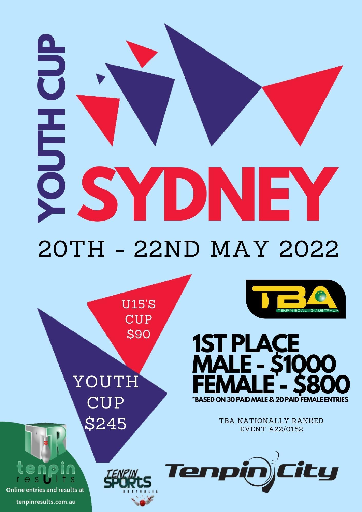# **HES** SYDNE Y 20TH - 22ND MAY 2022

**U15'S CUP** \$90

YOUTH **CUP** \$245



Online entries and results at tenpinresults.com.au





TBA NATIONALLY RANKED **EVENT A22/0152** 

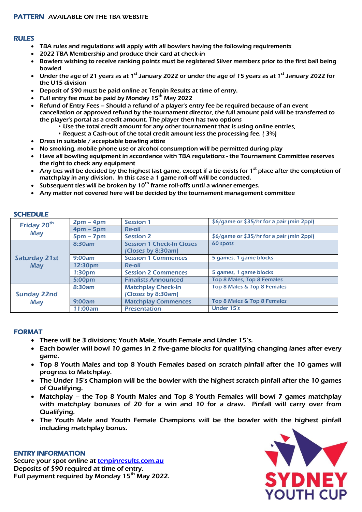### RULES

- TBA rules and regulations will apply with all bowlers having the following requirements
- 2022 TBA Membership and produce their card at check-in
- Bowlers wishing to receive ranking points must be registered Silver members prior to the first ball being bowled
- Under the age of 21 years as at 1<sup>st</sup> January 2022 or under the age of 15 years as at 1<sup>st</sup> January 2022 for the U15 division
- Deposit of \$90 must be paid online at Tenpin Results at time of entry.
- Full entry fee must be paid by Monday  $15<sup>th</sup>$  May 2022
- Refund of Entry Fees Should a refund of a player's entry fee be required because of an event cancellation or approved refund by the tournament director, the full amount paid will be transferred to the player's portal as a credit amount. The player then has two options
	- Use the total credit amount for any other tournament that is using online entries,
		- Request a Cash-out of the total credit amount less the processing fee. ( 3%)
- Dress in suitable / acceptable bowling attire
- No smoking, mobile phone use or alcohol consumption will be permitted during play
- Have all bowling equipment in accordance with TBA regulations the Tournament Committee reserves the right to check any equipment
- Any ties will be decided by the highest last game, except if a tie exists for 1<sup>st</sup> place after the completion of matchplay in any division. In this case a 1 game roll-off will be conducted.
- Subsequent ties will be broken by  $10<sup>th</sup>$  frame roll-offs until a winner emerges.
- Any matter not covered here will be decided by the tournament management committee

| Friday 20 <sup>th</sup><br><b>May</b> | $2pm - 4pm$        | <b>Session 1</b>                 | \$6/game or \$35/hr for a pair (min 2ppl) |
|---------------------------------------|--------------------|----------------------------------|-------------------------------------------|
|                                       | $4$ pm – 5pm       | <b>Re-oil</b>                    |                                           |
|                                       | $5pm - 7pm$        | <b>Session 2</b>                 | \$6/game or \$35/hr for a pair (min 2ppl) |
|                                       | 8:30am             | <b>Session 1 Check-In Closes</b> | 60 spots                                  |
| <b>Saturday 21st</b><br><b>May</b>    |                    | (Closes by 8:30am)               |                                           |
|                                       | 9:00am             | <b>Session 1 Commences</b>       | 5 games, 1 game blocks                    |
|                                       | 12:30pm            | <b>Re-oil</b>                    |                                           |
|                                       | 1:30 <sub>pm</sub> | <b>Session 2 Commences</b>       | 5 games, 1 game blocks                    |
|                                       | 5:00pm             | <b>Finalists Announced</b>       | Top 8 Males, Top 8 Females                |
|                                       | 8:30am             | <b>Matchplay Check-In</b>        | Top 8 Males & Top 8 Females               |
| <b>Sunday 22nd</b>                    |                    | (Closes by 8:30am)               |                                           |
| <b>May</b>                            | 9:00am             | <b>Matchplay Commences</b>       | Top 8 Males & Top 8 Females               |
|                                       | 11:00am            | <b>Presentation</b>              | Under 15's                                |

### SCHEDULE

### FORMAT

- There will be 3 divisions; Youth Male, Youth Female and Under 15's.
- Each bowler will bowl 10 games in 2 five-game blocks for qualifying changing lanes after every game.
- Top 8 Youth Males and top 8 Youth Females based on scratch pinfall after the 10 games will progress to Matchplay.
- The Under 15's Champion will be the bowler with the highest scratch pinfall after the 10 games of Qualifying.
- Matchplay the Top 8 Youth Males and Top 8 Youth Females will bowl 7 games matchplay with matchplay bonuses of 20 for a win and 10 for a draw. Pinfall will carry over from Qualifying.
- The Youth Male and Youth Female Champions will be the bowler with the highest pinfall including matchplay bonus.

### ENTRY INFORMATION

Secure your spot online at [tenpinresults.com.au](http://www.tenpinresults.com.au/) Deposits of \$90 required at time of entry. Full payment required by Monday 15<sup>th</sup> May 2022.

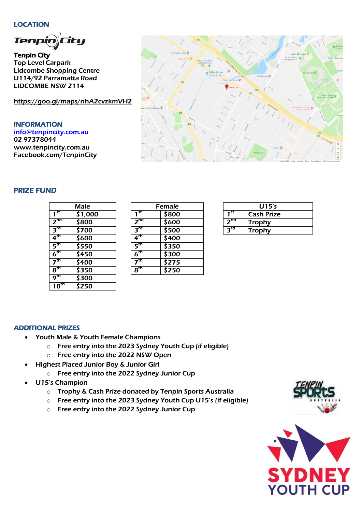### LOCATION

j

Tenpin City Top Level Carpark Lidcombe Shopping Centre U114/92 Parramatta Road LIDCOMBE NSW 2114

<https://goo.gl/maps/nhA2cvzkmVH2>

INFORMATION [info@tenpincity.com.au](mailto:info@tenpincity.com.au) 02 97378044 [www.tenpincity.com.au](http://www.tenpincity.com.au/) Facebook.com/TenpinCity



# PRIZE FUND

|                                       | Male    |                         |
|---------------------------------------|---------|-------------------------|
| 1 <sup>st</sup>                       | \$1,000 | 1                       |
| 2 <sup>nd</sup>                       | \$800   | $\overline{\mathbf{z}}$ |
| $3^{\text{rd}}$                       | \$700   | 3                       |
| $4^{\sf th}$                          | \$600   | 4                       |
| $\mathsf{5}^\mathsf{th}$              | 5550    | 5                       |
| $6^{\rm th}$                          | \$450   | 6                       |
| 7 <sup>th</sup>                       | 3400    | $\overline{\mathbf{z}}$ |
| 8 <sup>th</sup>                       | \$350   | 8                       |
| $\boldsymbol{\mathsf{o}}^\textsf{th}$ | \$300   |                         |
| th                                    | \$250   |                         |

| Male    |                            | Female |                 | U15's            |
|---------|----------------------------|--------|-----------------|------------------|
| \$1,000 | 1 st                       | \$800  | 1 <sup>st</sup> | <b>Cash Priz</b> |
| \$800   | 2 <sup>nd</sup>            | \$600  | $2^{nd}$        | <b>Trophy</b>    |
| \$700   | $3^{\text{rd}}$            | \$500  | 3 <sup>rd</sup> | <b>Trophy</b>    |
| \$600   | $4^{\text{th}}$            | \$400  |                 |                  |
| \$550   | $5^{\text{th}}$            | \$350  |                 |                  |
| \$450   | 6 <sup>th</sup>            | \$300  |                 |                  |
| \$400   | $\overline{\mathbf{z}}$ th | \$275  |                 |                  |
| \$350   | $8^{\text{th}}$            | \$250  |                 |                  |

|                 | U15's             |
|-----------------|-------------------|
| 1 <sup>st</sup> | <b>Cash Prize</b> |
| 2 <sub>nd</sub> | <b>Trophy</b>     |
| $3^{rd}$        | <b>Trophy</b>     |

## ADDITIONAL PRIZES

- Youth Male & Youth Female Champions
	- o Free entry into the 2023 Sydney Youth Cup (if eligible)
	- o Free entry into the 2022 NSW Open
- Highest Placed Junior Boy & Junior Girl
	- o Free entry into the 2022 Sydney Junior Cup
- U15's Champion
	- o Trophy & Cash Prize donated by Tenpin Sports Australia
	- o Free entry into the 2023 Sydney Youth Cup U15's (if eligible)
	- o Free entry into the 2022 Sydney Junior Cup